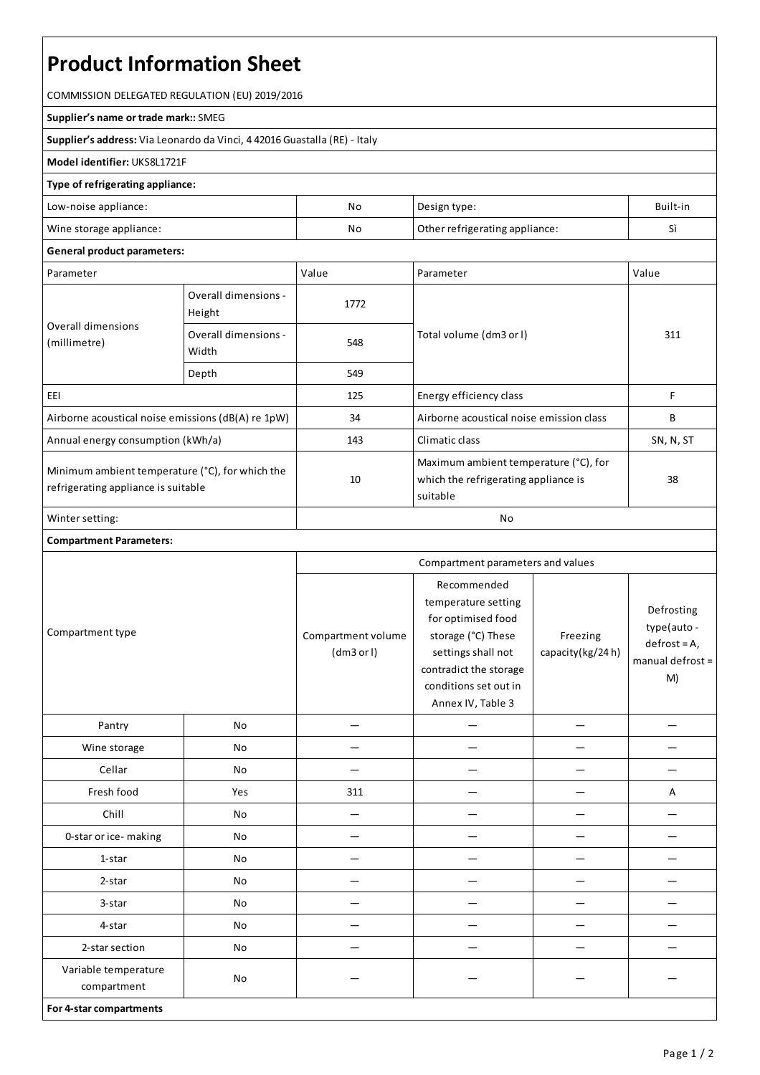# **Product Information Sheet**

COMMISSION DELEGATED REGULATION (EU) 2019/2016

#### **Supplier's name or trade mark::**SMEG

**Supplier's address:** ViaLeonardo da Vinci, 4 42016 Guastalla(RE) - Italy

### **Model identifier:** UKS8L1721F

#### **Type of refrigerating appliance:**

|                                                                 | Built-in          |
|-----------------------------------------------------------------|-------------------|
| No<br>Wine storage appliance:<br>Other refrigerating appliance: | $\mathbf{r}$<br>ັ |

## **General product parameters:**

| Parameter                                                                              |                                | Value | Parameter                                                                                 | Value     |
|----------------------------------------------------------------------------------------|--------------------------------|-------|-------------------------------------------------------------------------------------------|-----------|
| Overall dimensions<br>(millimetre)                                                     | Overall dimensions -<br>Height | 1772  |                                                                                           |           |
|                                                                                        | Overall dimensions -<br>Width  | 548   | Total volume (dm3 or I)                                                                   | 311       |
|                                                                                        | Depth                          | 549   |                                                                                           |           |
| EEI                                                                                    |                                | 125   | Energy efficiency class                                                                   | F         |
| Airborne acoustical noise emissions (dB(A) re 1pW)                                     |                                | 34    | Airborne acoustical noise emission class                                                  | B         |
| Annual energy consumption (kWh/a)                                                      |                                | 143   | Climatic class                                                                            | SN, N, ST |
| Minimum ambient temperature (°C), for which the<br>refrigerating appliance is suitable |                                | 10    | Maximum ambient temperature (°C), for<br>which the refrigerating appliance is<br>suitable | 38        |
| Winter setting:                                                                        |                                | No    |                                                                                           |           |

## **Compartment Parameters:**

| Compartment type                    |     | Compartment parameters and values |                                                                                                                                                                              |                              |                                                                       |
|-------------------------------------|-----|-----------------------------------|------------------------------------------------------------------------------------------------------------------------------------------------------------------------------|------------------------------|-----------------------------------------------------------------------|
|                                     |     | Compartment volume<br>(dm3 or l)  | Recommended<br>temperature setting<br>for optimised food<br>storage (°C) These<br>settings shall not<br>contradict the storage<br>conditions set out in<br>Annex IV, Table 3 | Freezing<br>capacity(kg/24h) | Defrosting<br>type(auto -<br>$defrost = A,$<br>manual defrost =<br>M) |
| Pantry                              | No  |                                   |                                                                                                                                                                              |                              |                                                                       |
| Wine storage                        | No  |                                   |                                                                                                                                                                              |                              |                                                                       |
| Cellar                              | No  |                                   |                                                                                                                                                                              |                              |                                                                       |
| Fresh food                          | Yes | 311                               |                                                                                                                                                                              |                              | А                                                                     |
| Chill                               | No  | -                                 |                                                                                                                                                                              |                              |                                                                       |
| 0-star or ice-making                | No  |                                   |                                                                                                                                                                              |                              |                                                                       |
| 1-star                              | No  |                                   |                                                                                                                                                                              |                              |                                                                       |
| 2-star                              | No  |                                   |                                                                                                                                                                              |                              |                                                                       |
| 3-star                              | No  |                                   |                                                                                                                                                                              |                              |                                                                       |
| 4-star                              | No  | —                                 |                                                                                                                                                                              |                              |                                                                       |
| 2-star section                      | No  |                                   |                                                                                                                                                                              |                              |                                                                       |
| Variable temperature<br>compartment | No  |                                   |                                                                                                                                                                              |                              |                                                                       |
| For 4-star compartments             |     |                                   |                                                                                                                                                                              |                              |                                                                       |